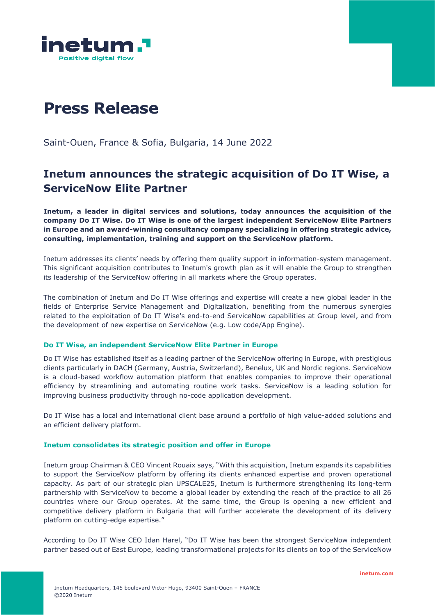

# **Press Release**

Saint-Ouen, France & Sofia, Bulgaria, 14 June 2022

# **Inetum announces the strategic acquisition of Do IT Wise, a ServiceNow Elite Partner**

**Inetum, a leader in digital services and solutions, today announces the acquisition of the company Do IT Wise. Do IT Wise is one of the largest independent ServiceNow Elite Partners in Europe and an award-winning consultancy company specializing in offering strategic advice, consulting, implementation, training and support on the ServiceNow platform.**

Inetum addresses its clients' needs by offering them quality support in information-system management. This significant acquisition contributes to Inetum's growth plan as it will enable the Group to strengthen its leadership of the ServiceNow offering in all markets where the Group operates.

The combination of Inetum and Do IT Wise offerings and expertise will create a new global leader in the fields of Enterprise Service Management and Digitalization, benefiting from the numerous synergies related to the exploitation of Do IT Wise's end-to-end ServiceNow capabilities at Group level, and from the development of new expertise on ServiceNow (e.g. Low code/App Engine).

#### **Do IT Wise, an independent ServiceNow Elite Partner in Europe**

Do IT Wise has established itself as a leading partner of the ServiceNow offering in Europe, with prestigious clients particularly in DACH (Germany, Austria, Switzerland), Benelux, UK and Nordic regions. ServiceNow is a cloud-based workflow automation platform that enables companies to improve their operational efficiency by streamlining and automating routine work tasks. ServiceNow is a leading solution for improving business productivity through no-code application development.

Do IT Wise has a local and international client base around a portfolio of high value-added solutions and an efficient delivery platform.

## **Inetum consolidates its strategic position and offer in Europe**

Inetum group Chairman & CEO Vincent Rouaix says, "With this acquisition, Inetum expands its capabilities to support the ServiceNow platform by offering its clients enhanced expertise and proven operational capacity. As part of our strategic plan UPSCALE25, Inetum is furthermore strengthening its long-term partnership with ServiceNow to become a global leader by extending the reach of the practice to all 26 countries where our Group operates. At the same time, the Group is opening a new efficient and competitive delivery platform in Bulgaria that will further accelerate the development of its delivery platform on cutting-edge expertise."

According to Do IT Wise CEO Idan Harel, "Do IT Wise has been the strongest ServiceNow independent partner based out of East Europe, leading transformational projects for its clients on top of the ServiceNow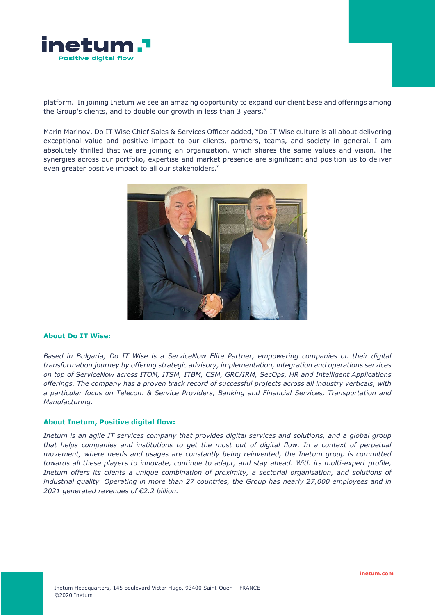

platform. In joining Inetum we see an amazing opportunity to expand our client base and offerings among the Group's clients, and to double our growth in less than 3 years."

Marin Marinov, Do IT Wise Chief Sales & Services Officer added, "Do IT Wise culture is all about delivering exceptional value and positive impact to our clients, partners, teams, and society in general. I am absolutely thrilled that we are joining an organization, which shares the same values and vision. The synergies across our portfolio, expertise and market presence are significant and position us to deliver even greater positive impact to all our stakeholders."



#### **About Do IT Wise:**

*Based in Bulgaria, Do IT Wise is a ServiceNow Elite Partner, empowering companies on their digital transformation journey by offering strategic advisory, implementation, integration and operations services on top of ServiceNow across ITOM, ITSM, ITBM, CSM, GRC/IRM, SecOps, HR and Intelligent Applications offerings. The company has a proven track record of successful projects across all industry verticals, with a particular focus on Telecom & Service Providers, Banking and Financial Services, Transportation and Manufacturing.*

#### **About Inetum, Positive digital flow:**

*Inetum is an agile IT services company that provides digital services and solutions, and a global group that helps companies and institutions to get the most out of digital flow. In a context of perpetual movement, where needs and usages are constantly being reinvented, the Inetum group is committed towards all these players to innovate, continue to adapt, and stay ahead. With its multi-expert profile, Inetum offers its clients a unique combination of proximity, a sectorial organisation, and solutions of industrial quality. Operating in more than 27 countries, the Group has nearly 27,000 employees and in 2021 generated revenues of €2.2 billion.*